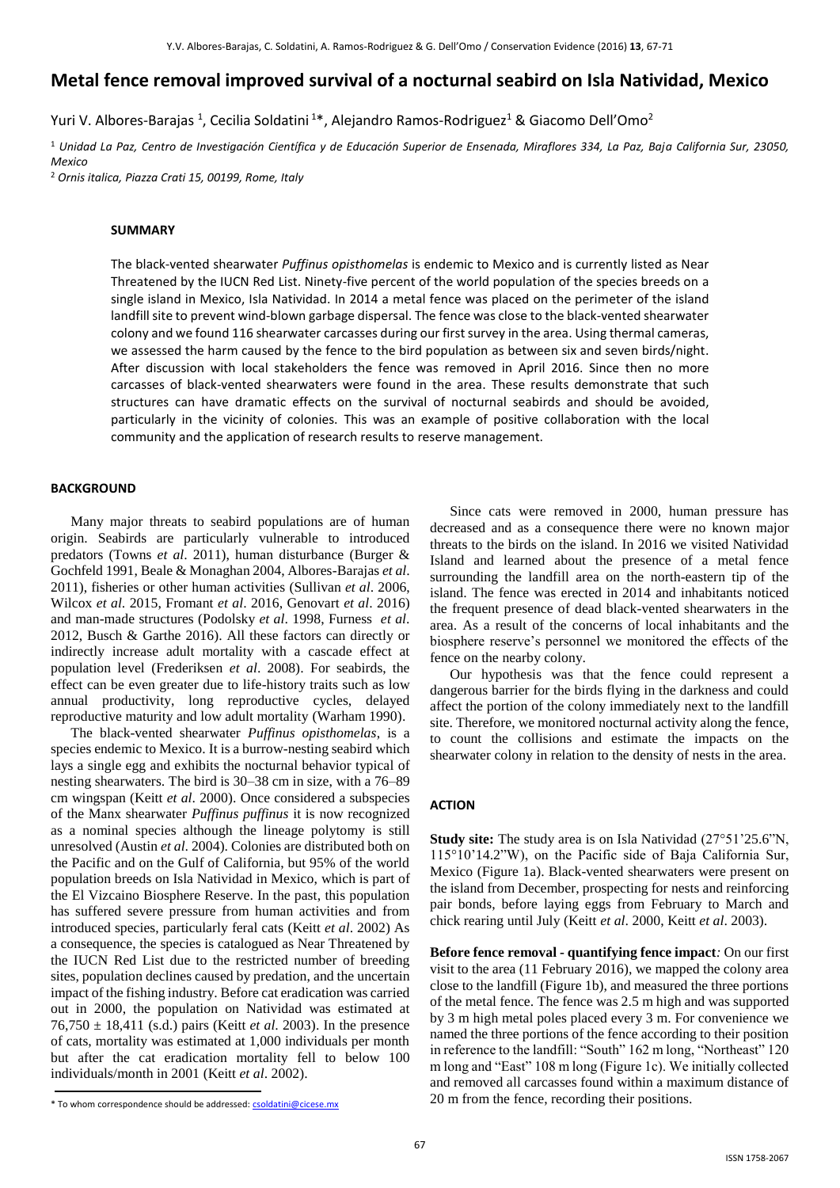# **Metal fence removal improved survival of a nocturnal seabird on Isla Natividad, Mexico**

Yuri V. Albores-Barajas <sup>1</sup>, Cecilia Soldatini <sup>1\*</sup>, Alejandro Ramos-Rodriguez<sup>1</sup> & Giacomo Dell'Omo<sup>2</sup>

<sup>1</sup> *Unidad La Paz, Centro de Investigación Científica y de Educación Superior de Ensenada, Miraflores 334, La Paz, Baja California Sur, 23050, Mexico*

<sup>2</sup> *Ornis italica, Piazza Crati 15, 00199, Rome, Italy*

### **SUMMARY**

The black-vented shearwater *Puffinus opisthomelas* is endemic to Mexico and is currently listed as Near Threatened by the IUCN Red List. Ninety-five percent of the world population of the species breeds on a single island in Mexico, Isla Natividad. In 2014 a metal fence was placed on the perimeter of the island landfill site to prevent wind-blown garbage dispersal. The fence was close to the black-vented shearwater colony and we found 116 shearwater carcasses during our first survey in the area. Using thermal cameras, we assessed the harm caused by the fence to the bird population as between six and seven birds/night. After discussion with local stakeholders the fence was removed in April 2016. Since then no more carcasses of black-vented shearwaters were found in the area. These results demonstrate that such structures can have dramatic effects on the survival of nocturnal seabirds and should be avoided, particularly in the vicinity of colonies. This was an example of positive collaboration with the local community and the application of research results to reserve management.

### **BACKGROUND**

Many major threats to seabird populations are of human origin. Seabirds are particularly vulnerable to introduced predators (Towns *et al*. 2011), human disturbance (Burger & Gochfeld 1991, Beale & Monaghan 2004, Albores-Barajas *et al*. 2011), fisheries or other human activities (Sullivan *et al*. 2006, Wilcox *et al*. 2015, Fromant *et al*. 2016, Genovart *et al*. 2016) and man-made structures (Podolsky *et al*. 1998, Furness *et al*. 2012, Busch & Garthe 2016). All these factors can directly or indirectly increase adult mortality with a cascade effect at population level (Frederiksen *et al*. 2008). For seabirds, the effect can be even greater due to life-history traits such as low annual productivity, long reproductive cycles, delayed reproductive maturity and low adult mortality (Warham 1990).

The black-vented shearwater *Puffinus opisthomelas*, is a species endemic to Mexico. It is a burrow-nesting seabird which lays a single egg and exhibits the nocturnal behavior typical of nesting shearwaters. The bird is 30–38 cm in size, with a 76–89 cm wingspan (Keitt *et al*. 2000). Once considered a subspecies of the Manx shearwater *Puffinus puffinus* it is now recognized as a nominal species although the lineage polytomy is still unresolved (Austin *et al*. 2004). Colonies are distributed both on the Pacific and on the Gulf of California, but 95% of the world population breeds on Isla Natividad in Mexico, which is part of the El Vizcaino Biosphere Reserve. In the past, this population has suffered severe pressure from human activities and from introduced species, particularly feral cats (Keitt *et al*. 2002) As a consequence, the species is catalogued as Near Threatened by the IUCN Red List due to the restricted number of breeding sites, population declines caused by predation, and the uncertain impact of the fishing industry. Before cat eradication was carried out in 2000, the population on Natividad was estimated at 76,750 ± 18,411 (s.d.) pairs (Keitt *et al*. 2003). In the presence of cats, mortality was estimated at 1,000 individuals per month but after the cat eradication mortality fell to below 100 individuals/month in 2001 (Keitt *et al*. 2002).

Since cats were removed in 2000, human pressure has decreased and as a consequence there were no known major threats to the birds on the island. In 2016 we visited Natividad Island and learned about the presence of a metal fence surrounding the landfill area on the north-eastern tip of the island. The fence was erected in 2014 and inhabitants noticed the frequent presence of dead black-vented shearwaters in the area. As a result of the concerns of local inhabitants and the biosphere reserve's personnel we monitored the effects of the fence on the nearby colony.

Our hypothesis was that the fence could represent a dangerous barrier for the birds flying in the darkness and could affect the portion of the colony immediately next to the landfill site. Therefore, we monitored nocturnal activity along the fence, to count the collisions and estimate the impacts on the shearwater colony in relation to the density of nests in the area.

#### **ACTION**

**Study site:** The study area is on Isla Natividad (27°51'25.6"N, 115°10'14.2"W), on the Pacific side of Baja California Sur, Mexico (Figure 1a). Black-vented shearwaters were present on the island from December, prospecting for nests and reinforcing pair bonds, before laying eggs from February to March and chick rearing until July (Keitt *et al*. 2000, Keitt *et al*. 2003).

**Before fence removal - quantifying fence impact***:* On our first visit to the area (11 February 2016), we mapped the colony area close to the landfill (Figure 1b), and measured the three portions of the metal fence. The fence was 2.5 m high and was supported by 3 m high metal poles placed every 3 m. For convenience we named the three portions of the fence according to their position in reference to the landfill: "South" 162 m long, "Northeast" 120 m long and "East" 108 m long (Figure 1c). We initially collected and removed all carcasses found within a maximum distance of 20 m from the fence, recording their positions.

<sup>\*</sup> To whom correspondence should be addressed[: csoldatini@cicese.mx](mailto:csoldatini@cicese.mx)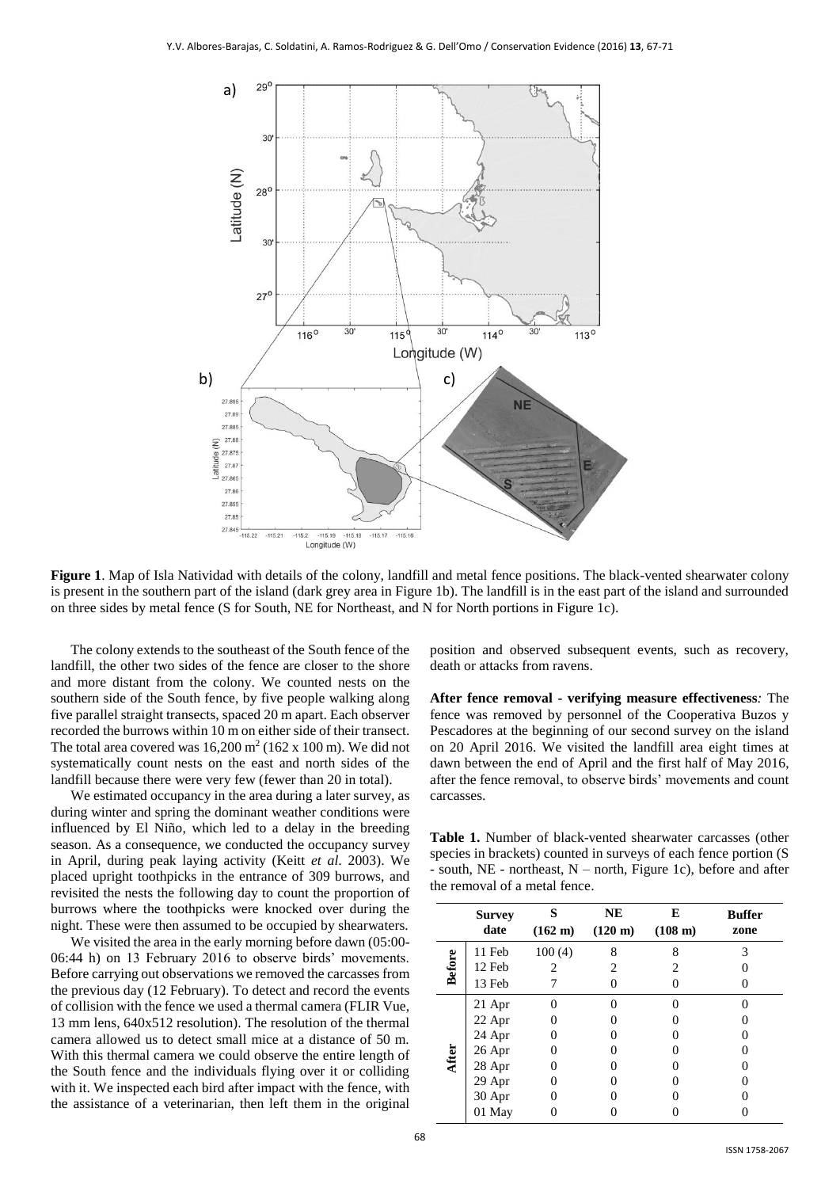

**Figure 1**. Map of Isla Natividad with details of the colony, landfill and metal fence positions. The black-vented shearwater colony is present in the southern part of the island (dark grey area in Figure 1b). The landfill is in the east part of the island and surrounded on three sides by metal fence (S for South, NE for Northeast, and N for North portions in Figure 1c).

The colony extends to the southeast of the South fence of the landfill, the other two sides of the fence are closer to the shore and more distant from the colony. We counted nests on the southern side of the South fence, by five people walking along five parallel straight transects, spaced 20 m apart. Each observer recorded the burrows within 10 m on either side of their transect. The total area covered was  $16,200 \text{ m}^2$  (162 x 100 m). We did not systematically count nests on the east and north sides of the landfill because there were very few (fewer than 20 in total).

We estimated occupancy in the area during a later survey, as during winter and spring the dominant weather conditions were influenced by El Niño, which led to a delay in the breeding season. As a consequence, we conducted the occupancy survey in April, during peak laying activity (Keitt *et al*. 2003). We placed upright toothpicks in the entrance of 309 burrows, and revisited the nests the following day to count the proportion of burrows where the toothpicks were knocked over during the night. These were then assumed to be occupied by shearwaters.

We visited the area in the early morning before dawn  $(05:00-$ 06:44 h) on 13 February 2016 to observe birds' movements. Before carrying out observations we removed the carcasses from the previous day (12 February). To detect and record the events of collision with the fence we used a thermal camera (FLIR Vue, 13 mm lens, 640x512 resolution). The resolution of the thermal camera allowed us to detect small mice at a distance of 50 m. With this thermal camera we could observe the entire length of the South fence and the individuals flying over it or colliding with it. We inspected each bird after impact with the fence, with the assistance of a veterinarian, then left them in the original

position and observed subsequent events, such as recovery, death or attacks from ravens.

**After fence removal - verifying measure effectiveness***:* The fence was removed by personnel of the Cooperativa Buzos y Pescadores at the beginning of our second survey on the island on 20 April 2016. We visited the landfill area eight times at dawn between the end of April and the first half of May 2016, after the fence removal, to observe birds' movements and count carcasses.

**Table 1.** Number of black-vented shearwater carcasses (other species in brackets) counted in surveys of each fence portion (S - south, NE - northeast, N – north, Figure 1c), before and after the removal of a metal fence.

|               | <b>Survey</b><br>date | s<br>$(162 \text{ m})$ | NE<br>$(120 \;{\rm m})$ | Е<br>(108 m) | <b>Buffer</b><br>zone |
|---------------|-----------------------|------------------------|-------------------------|--------------|-----------------------|
| <b>Before</b> | 11 Feb                | 100(4)                 | 8                       | 8            | 3                     |
|               | 12 Feb                |                        | 2                       |              |                       |
|               | 13 Feb                |                        |                         |              |                       |
| After         | 21 Apr                |                        |                         |              |                       |
|               | 22 Apr                |                        |                         |              |                       |
|               | 24 Apr                |                        |                         |              |                       |
|               | 26 Apr                |                        |                         |              |                       |
|               | 28 Apr                |                        |                         |              |                       |
|               | 29 Apr                |                        |                         |              |                       |
|               | 30 Apr                |                        |                         |              |                       |
|               | 01 May                |                        |                         |              |                       |
|               |                       |                        |                         |              |                       |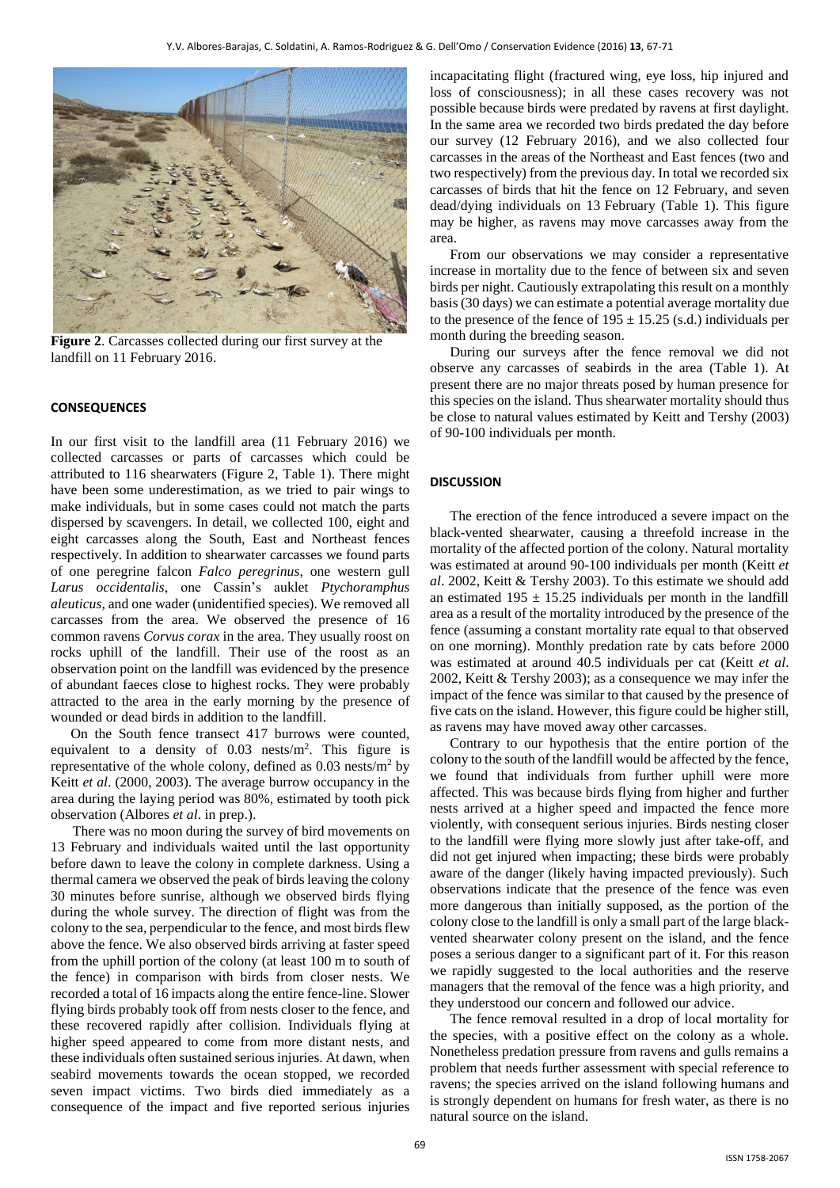

**Figure 2**. Carcasses collected during our first survey at the landfill on 11 February 2016.

## **CONSEQUENCES**

In our first visit to the landfill area (11 February 2016) we collected carcasses or parts of carcasses which could be attributed to 116 shearwaters (Figure 2, Table 1). There might have been some underestimation, as we tried to pair wings to make individuals, but in some cases could not match the parts dispersed by scavengers. In detail, we collected 100, eight and eight carcasses along the South, East and Northeast fences respectively. In addition to shearwater carcasses we found parts of one peregrine falcon *Falco peregrinus*, one western gull *Larus occidentalis*, one Cassin's auklet *Ptychoramphus aleuticus*, and one wader (unidentified species). We removed all carcasses from the area. We observed the presence of 16 common ravens *Corvus corax* in the area. They usually roost on rocks uphill of the landfill. Their use of the roost as an observation point on the landfill was evidenced by the presence of abundant faeces close to highest rocks. They were probably attracted to the area in the early morning by the presence of wounded or dead birds in addition to the landfill.

On the South fence transect 417 burrows were counted, equivalent to a density of 0.03 nests/m<sup>2</sup>. This figure is representative of the whole colony, defined as  $0.03$  nests/m<sup>2</sup> by Keitt *et al*. (2000, 2003). The average burrow occupancy in the area during the laying period was 80%, estimated by tooth pick observation (Albores *et al*. in prep.).

There was no moon during the survey of bird movements on 13 February and individuals waited until the last opportunity before dawn to leave the colony in complete darkness. Using a thermal camera we observed the peak of birds leaving the colony 30 minutes before sunrise, although we observed birds flying during the whole survey. The direction of flight was from the colony to the sea, perpendicular to the fence, and most birds flew above the fence. We also observed birds arriving at faster speed from the uphill portion of the colony (at least 100 m to south of the fence) in comparison with birds from closer nests. We recorded a total of 16 impacts along the entire fence-line. Slower flying birds probably took off from nests closer to the fence, and these recovered rapidly after collision. Individuals flying at higher speed appeared to come from more distant nests, and these individuals often sustained serious injuries. At dawn, when seabird movements towards the ocean stopped, we recorded seven impact victims. Two birds died immediately as a consequence of the impact and five reported serious injuries incapacitating flight (fractured wing, eye loss, hip injured and loss of consciousness); in all these cases recovery was not possible because birds were predated by ravens at first daylight. In the same area we recorded two birds predated the day before our survey (12 February 2016), and we also collected four carcasses in the areas of the Northeast and East fences (two and two respectively) from the previous day. In total we recorded six carcasses of birds that hit the fence on 12 February, and seven dead/dying individuals on 13 February (Table 1). This figure may be higher, as ravens may move carcasses away from the area.

From our observations we may consider a representative increase in mortality due to the fence of between six and seven birds per night. Cautiously extrapolating this result on a monthly basis (30 days) we can estimate a potential average mortality due to the presence of the fence of  $195 \pm 15.25$  (s.d.) individuals per month during the breeding season.

During our surveys after the fence removal we did not observe any carcasses of seabirds in the area (Table 1). At present there are no major threats posed by human presence for this species on the island. Thus shearwater mortality should thus be close to natural values estimated by Keitt and Tershy (2003) of 90-100 individuals per month.

#### **DISCUSSION**

The erection of the fence introduced a severe impact on the black-vented shearwater, causing a threefold increase in the mortality of the affected portion of the colony. Natural mortality was estimated at around 90-100 individuals per month (Keitt *et al*. 2002, Keitt & Tershy 2003). To this estimate we should add an estimated  $195 \pm 15.25$  individuals per month in the landfill area as a result of the mortality introduced by the presence of the fence (assuming a constant mortality rate equal to that observed on one morning). Monthly predation rate by cats before 2000 was estimated at around 40.5 individuals per cat (Keitt *et al*. 2002, Keitt & Tershy 2003); as a consequence we may infer the impact of the fence was similar to that caused by the presence of five cats on the island. However, this figure could be higher still, as ravens may have moved away other carcasses.

Contrary to our hypothesis that the entire portion of the colony to the south of the landfill would be affected by the fence, we found that individuals from further uphill were more affected. This was because birds flying from higher and further nests arrived at a higher speed and impacted the fence more violently, with consequent serious injuries. Birds nesting closer to the landfill were flying more slowly just after take-off, and did not get injured when impacting; these birds were probably aware of the danger (likely having impacted previously). Such observations indicate that the presence of the fence was even more dangerous than initially supposed, as the portion of the colony close to the landfill is only a small part of the large blackvented shearwater colony present on the island, and the fence poses a serious danger to a significant part of it. For this reason we rapidly suggested to the local authorities and the reserve managers that the removal of the fence was a high priority, and they understood our concern and followed our advice.

The fence removal resulted in a drop of local mortality for the species, with a positive effect on the colony as a whole. Nonetheless predation pressure from ravens and gulls remains a problem that needs further assessment with special reference to ravens; the species arrived on the island following humans and is strongly dependent on humans for fresh water, as there is no natural source on the island.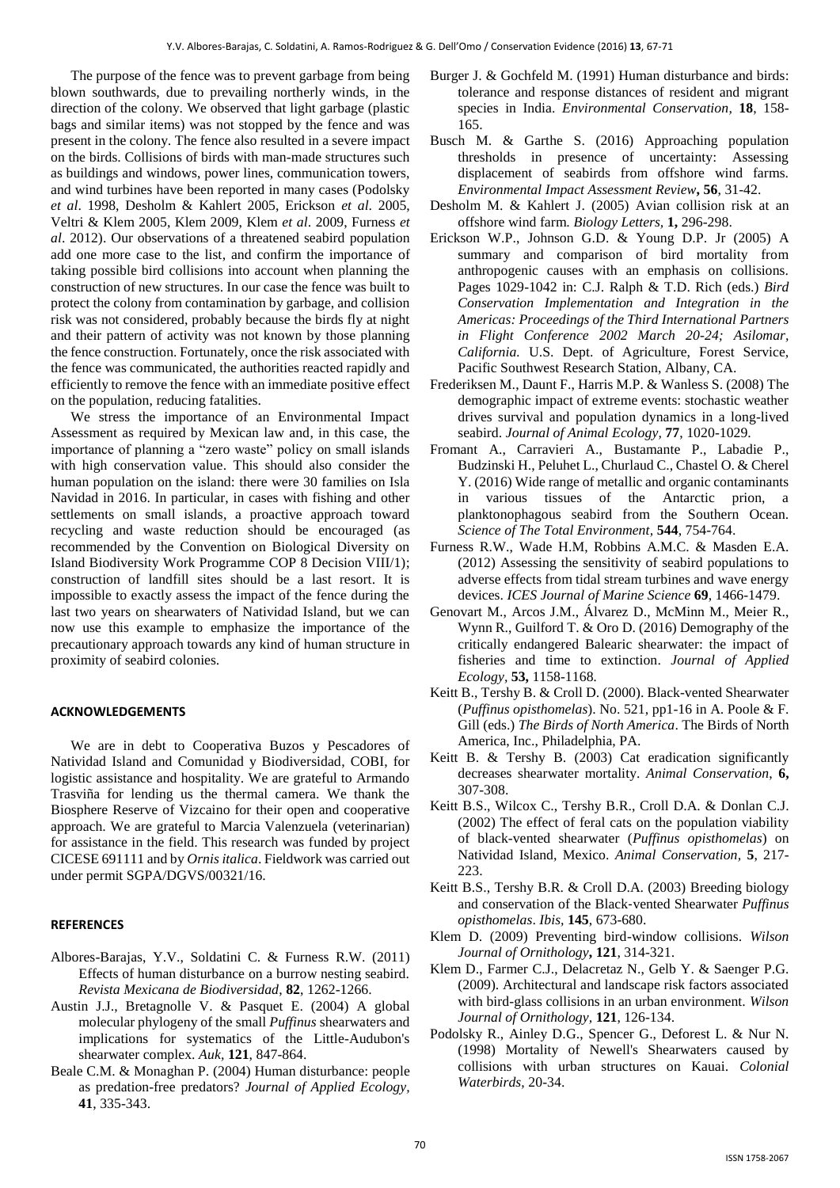The purpose of the fence was to prevent garbage from being blown southwards, due to prevailing northerly winds, in the direction of the colony. We observed that light garbage (plastic bags and similar items) was not stopped by the fence and was present in the colony. The fence also resulted in a severe impact on the birds. Collisions of birds with man-made structures such as buildings and windows, power lines, communication towers, and wind turbines have been reported in many cases (Podolsky *et al*. 1998, Desholm & Kahlert 2005, Erickson *et al*. 2005, Veltri & Klem 2005, Klem 2009, Klem *et al*. 2009, Furness *et al*. 2012). Our observations of a threatened seabird population add one more case to the list, and confirm the importance of taking possible bird collisions into account when planning the construction of new structures. In our case the fence was built to protect the colony from contamination by garbage, and collision risk was not considered, probably because the birds fly at night and their pattern of activity was not known by those planning the fence construction. Fortunately, once the risk associated with the fence was communicated, the authorities reacted rapidly and efficiently to remove the fence with an immediate positive effect on the population, reducing fatalities.

We stress the importance of an Environmental Impact Assessment as required by Mexican law and, in this case, the importance of planning a "zero waste" policy on small islands with high conservation value. This should also consider the human population on the island: there were 30 families on Isla Navidad in 2016. In particular, in cases with fishing and other settlements on small islands, a proactive approach toward recycling and waste reduction should be encouraged (as recommended by the Convention on Biological Diversity on Island Biodiversity Work Programme COP 8 Decision VIII/1); construction of landfill sites should be a last resort. It is impossible to exactly assess the impact of the fence during the last two years on shearwaters of Natividad Island, but we can now use this example to emphasize the importance of the precautionary approach towards any kind of human structure in proximity of seabird colonies.

### **ACKNOWLEDGEMENTS**

We are in debt to Cooperativa Buzos y Pescadores of Natividad Island and Comunidad y Biodiversidad, COBI, for logistic assistance and hospitality. We are grateful to Armando Trasviña for lending us the thermal camera. We thank the Biosphere Reserve of Vizcaino for their open and cooperative approach. We are grateful to Marcia Valenzuela (veterinarian) for assistance in the field. This research was funded by project CICESE 691111 and by *Ornis italica*. Fieldwork was carried out under permit SGPA/DGVS/00321/16.

### **REFERENCES**

- Albores-Barajas, Y.V., Soldatini C. & Furness R.W. (2011) Effects of human disturbance on a burrow nesting seabird. *Revista Mexicana de Biodiversidad*, **82**, 1262-1266.
- Austin J.J., Bretagnolle V. & Pasquet E. (2004) A global molecular phylogeny of the small *Puffinus* shearwaters and implications for systematics of the Little-Audubon's shearwater complex. *Auk,* **121**, 847-864.
- Beale C.M. & Monaghan P. (2004) Human disturbance: people as predation-free predators? *Journal of Applied Ecology,* **41**, 335-343.
- Burger J. & Gochfeld M. (1991) Human disturbance and birds: tolerance and response distances of resident and migrant species in India. *Environmental Conservation,* **18**, 158- 165.
- Busch M. & Garthe S. (2016) Approaching population thresholds in presence of uncertainty: Assessing displacement of seabirds from offshore wind farms. *Environmental Impact Assessment Review***, 56**, 31-42.
- Desholm M. & Kahlert J. (2005) Avian collision risk at an offshore wind farm. *Biology Letters,* **1,** 296-298.
- Erickson W.P., Johnson G.D. & Young D.P. Jr (2005) A summary and comparison of bird mortality from anthropogenic causes with an emphasis on collisions. Pages 1029-1042 in: C.J. Ralph & T.D. Rich (eds.) *Bird Conservation Implementation and Integration in the Americas: Proceedings of the Third International Partners in Flight Conference 2002 March 20-24; Asilomar, California.* U.S. Dept. of Agriculture, Forest Service, Pacific Southwest Research Station, Albany, CA.
- Frederiksen M., Daunt F., Harris M.P. & Wanless S. (2008) The demographic impact of extreme events: stochastic weather drives survival and population dynamics in a long-lived seabird. *Journal of Animal Ecology,* **77**, 1020-1029.
- Fromant A., Carravieri A., Bustamante P., Labadie P., Budzinski H., Peluhet L., Churlaud C., Chastel O. & Cherel Y. (2016) Wide range of metallic and organic contaminants in various tissues of the Antarctic prion, a planktonophagous seabird from the Southern Ocean. *Science of The Total Environment,* **544**, 754-764.
- Furness R.W., Wade H.M, Robbins A.M.C. & Masden E.A. (2012) Assessing the sensitivity of seabird populations to adverse effects from tidal stream turbines and wave energy devices. *ICES Journal of Marine Science* **69**, 1466-1479.
- Genovart M., Arcos J.M., Álvarez D., McMinn M., Meier R., Wynn R., Guilford T. & Oro D. (2016) Demography of the critically endangered Balearic shearwater: the impact of fisheries and time to extinction. *Journal of Applied Ecology,* **53,** 1158-1168*.*
- Keitt B., Tershy B. & Croll D. (2000). Black-vented Shearwater (*Puffinus opisthomelas*). No. 521, pp1-16 in A. Poole & F. Gill (eds.) *The Birds of North America*. The Birds of North America, Inc., Philadelphia, PA.
- Keitt B. & Tershy B. (2003) Cat eradication significantly decreases shearwater mortality. *Animal Conservation*, **6,** 307-308.
- Keitt B.S., Wilcox C., Tershy B.R., Croll D.A. & Donlan C.J. (2002) The effect of feral cats on the population viability of black-vented shearwater (*Puffinus opisthomelas*) on Natividad Island, Mexico. *Animal Conservation,* **5**, 217- 223.
- Keitt B.S., Tershy B.R. & Croll D.A. (2003) Breeding biology and conservation of the Black‐vented Shearwater *Puffinus opisthomelas*. *Ibis,* **145**, 673-680.
- Klem D. (2009) Preventing bird-window collisions. *Wilson Journal of Ornithology***, 121**, 314-321.
- Klem D., Farmer C.J., Delacretaz N., Gelb Y. & Saenger P.G. (2009). Architectural and landscape risk factors associated with bird-glass collisions in an urban environment. *Wilson Journal of Ornithology,* **121**, 126-134.
- Podolsky R., Ainley D.G., Spencer G., Deforest L. & Nur N. (1998) Mortality of Newell's Shearwaters caused by collisions with urban structures on Kauai. *Colonial Waterbirds,* 20-34.